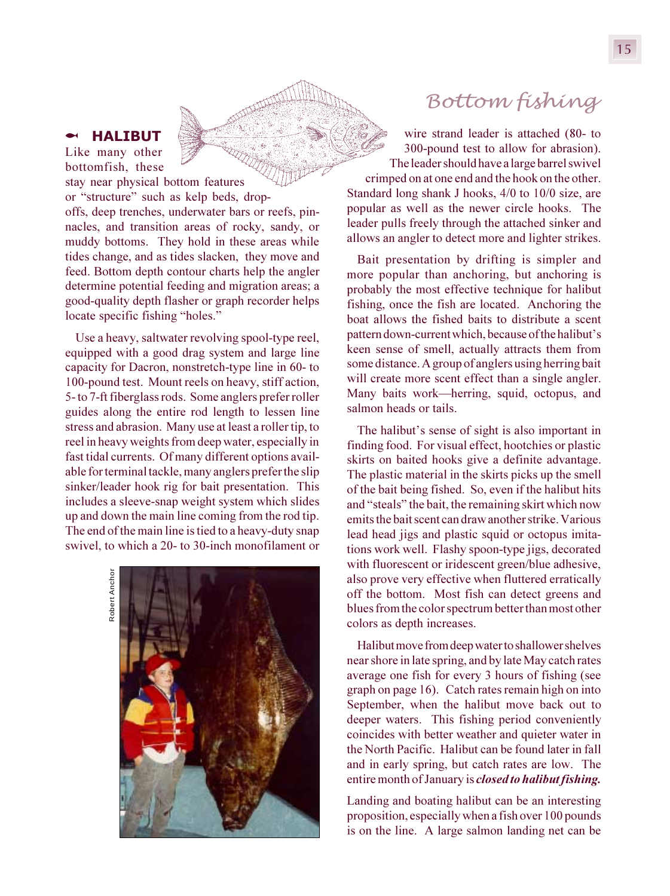## § **HALIBUT** Like many other

bottomfish, these stay near physical bottom features or "structure" such as kelp beds, dropoffs, deep trenches, underwater bars or reefs, pinnacles, and transition areas of rocky, sandy, or muddy bottoms. They hold in these areas while tides change, and as tides slacken, they move and feed. Bottom depth contour charts help the angler determine potential feeding and migration areas; a good-quality depth flasher or graph recorder helps locate specific fishing "holes."

Use a heavy, saltwater revolving spool-type reel, equipped with a good drag system and large line capacity for Dacron, nonstretch-type line in 60- to 100-pound test. Mount reels on heavy, stiff action, 5- to 7-ft fiberglass rods. Some anglers prefer roller guides along the entire rod length to lessen line stress and abrasion. Many use at least a roller tip, to reel in heavy weights from deep water, especially in fast tidal currents. Of many different options available for terminal tackle, many anglers prefer the slip sinker/leader hook rig for bait presentation. This includes a sleeve-snap weight system which slides up and down the main line coming from the rod tip. The end of the main line is tied to a heavy-duty snap swivel, to which a 20- to 30-inch monofilament or

> Robert Anchor Robert Anchor



## *Bottom fishing*

wire strand leader is attached (80- to 300-pound test to allow for abrasion). The leader should have a large barrel swivel crimped on at one end and the hook on the other. Standard long shank J hooks, 4/0 to 10/0 size, are popular as well as the newer circle hooks. The leader pulls freely through the attached sinker and allows an angler to detect more and lighter strikes.

Bait presentation by drifting is simpler and more popular than anchoring, but anchoring is probably the most effective technique for halibut fishing, once the fish are located. Anchoring the boat allows the fished baits to distribute a scent pattern down-current which, because of the halibut's keen sense of smell, actually attracts them from some distance. A group of anglers using herring bait will create more scent effect than a single angler. Many baits work—herring, squid, octopus, and salmon heads or tails.

The halibut's sense of sight is also important in finding food. For visual effect, hootchies or plastic skirts on baited hooks give a definite advantage. The plastic material in the skirts picks up the smell of the bait being fished. So, even if the halibut hits and "steals" the bait, the remaining skirt which now emits the bait scent can draw another strike. Various lead head jigs and plastic squid or octopus imitations work well. Flashy spoon-type jigs, decorated with fluorescent or iridescent green/blue adhesive, also prove very effective when fluttered erratically off the bottom. Most fish can detect greens and blues from the color spectrum better than most other colors as depth increases.

Halibut move from deep water to shallower shelves near shore in late spring, and by late May catch rates average one fish for every 3 hours of fishing (see graph on page 16). Catch rates remain high on into September, when the halibut move back out to deeper waters. This fishing period conveniently coincides with better weather and quieter water in the North Pacific. Halibut can be found later in fall and in early spring, but catch rates are low. The entire month of January is *closed to halibut fishing.*

Landing and boating halibut can be an interesting proposition, especially when a fish over 100 pounds is on the line. A large salmon landing net can be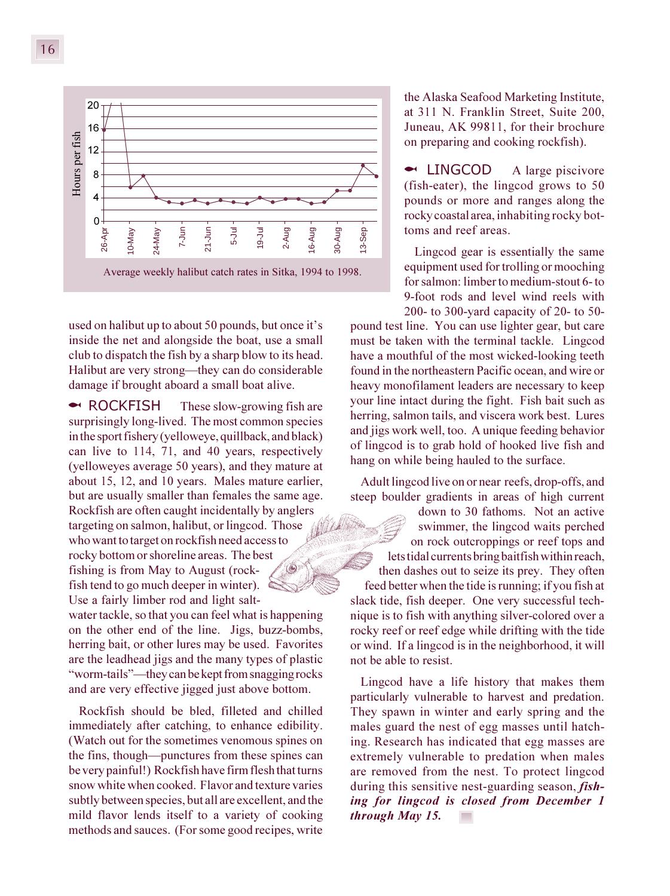

used on halibut up to about 50 pounds, but once it's inside the net and alongside the boat, use a small club to dispatch the fish by a sharp blow to its head. Halibut are very strong—they can do considerable damage if brought aboard a small boat alive.

**► ROCKFISH** These slow-growing fish are surprisingly long-lived. The most common species in the sport fishery (yelloweye, quillback, and black) can live to 114, 71, and 40 years, respectively (yelloweyes average 50 years), and they mature at about 15, 12, and 10 years. Males mature earlier, but are usually smaller than females the same age. Rockfish are often caught incidentally by anglers targeting on salmon, halibut, or lingcod. Those who want to target on rockfish need access to rocky bottom or shoreline areas. The best fishing is from May to August (rockfish tend to go much deeper in winter). Use a fairly limber rod and light salt-

water tackle, so that you can feel what is happening on the other end of the line. Jigs, buzz-bombs, herring bait, or other lures may be used. Favorites are the leadhead jigs and the many types of plastic "worm-tails"—they can be kept from snagging rocks and are very effective jigged just above bottom.

Rockfish should be bled, filleted and chilled immediately after catching, to enhance edibility. (Watch out for the sometimes venomous spines on the fins, though—punctures from these spines can be very painful!) Rockfish have firm flesh that turns snow white when cooked. Flavor and texture varies subtly between species, but all are excellent, and the mild flavor lends itself to a variety of cooking methods and sauces. (For some good recipes, write

the Alaska Seafood Marketing Institute, at 311 N. Franklin Street, Suite 200, Juneau, AK 99811, for their brochure on preparing and cooking rockfish).

§ LINGCODA large piscivore (fish-eater), the lingcod grows to 50 pounds or more and ranges along the rocky coastal area, inhabiting rocky bottoms and reef areas.

Lingcod gear is essentially the same equipment used for trolling or mooching for salmon: limber to medium-stout 6- to 9-foot rods and level wind reels with 200- to 300-yard capacity of 20- to 50-

pound test line. You can use lighter gear, but care must be taken with the terminal tackle. Lingcod have a mouthful of the most wicked-looking teeth found in the northeastern Pacific ocean, and wire or heavy monofilament leaders are necessary to keep your line intact during the fight. Fish bait such as herring, salmon tails, and viscera work best. Lures and jigs work well, too. A unique feeding behavior of lingcod is to grab hold of hooked live fish and hang on while being hauled to the surface.

Adult lingcod live on or near reefs, drop-offs, and steep boulder gradients in areas of high current

down to 30 fathoms. Not an active swimmer, the lingcod waits perched on rock outcroppings or reef tops and lets tidal currents bring baitfish within reach, then dashes out to seize its prey. They often feed better when the tide is running; if you fish at slack tide, fish deeper. One very successful technique is to fish with anything silver-colored over a rocky reef or reef edge while drifting with the tide or wind. If a lingcod is in the neighborhood, it will not be able to resist.

Lingcod have a life history that makes them particularly vulnerable to harvest and predation. They spawn in winter and early spring and the males guard the nest of egg masses until hatching. Research has indicated that egg masses are extremely vulnerable to predation when males are removed from the nest. To protect lingcod during this sensitive nest-guarding season, *fishing for lingcod is closed from December 1 through May 15.*